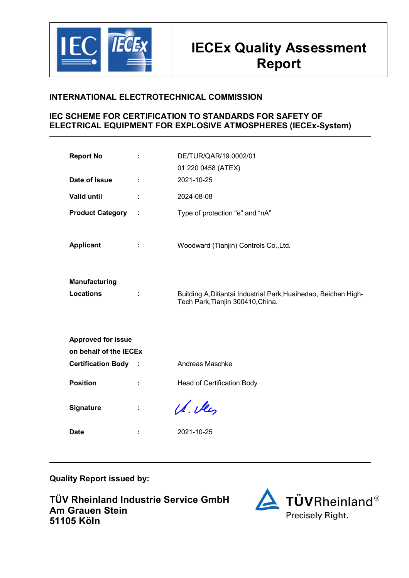

# **INTERNATIONAL ELECTROTECHNICAL COMMISSION**

# **IEC SCHEME FOR CERTIFICATION TO STANDARDS FOR SAFETY OF ELECTRICAL EQUIPMENT FOR EXPLOSIVE ATMOSPHERES (IECEx-System)**

| <b>Report No</b>                         | ÷ | DE/TUR/QAR/19.0002/01<br>01 220 0458 (ATEX)                                                          |  |  |  |  |  |  |  |
|------------------------------------------|---|------------------------------------------------------------------------------------------------------|--|--|--|--|--|--|--|
| Date of Issue                            | ÷ | 2021-10-25                                                                                           |  |  |  |  |  |  |  |
| <b>Valid until</b>                       |   | 2024-08-08                                                                                           |  |  |  |  |  |  |  |
| <b>Product Category</b>                  | ÷ | Type of protection "e" and "nA"                                                                      |  |  |  |  |  |  |  |
| <b>Applicant</b>                         |   | Woodward (Tianjin) Controls Co., Ltd.                                                                |  |  |  |  |  |  |  |
| <b>Manufacturing</b><br><b>Locations</b> |   | Building A, Ditiantai Industrial Park, Huaihedao, Beichen High-<br>Tech Park, Tianjin 300410, China. |  |  |  |  |  |  |  |
| <b>Approved for issue</b>                |   |                                                                                                      |  |  |  |  |  |  |  |
| on behalf of the IECEX                   |   |                                                                                                      |  |  |  |  |  |  |  |
| <b>Certification Body :</b>              |   | Andreas Maschke                                                                                      |  |  |  |  |  |  |  |
| <b>Position</b>                          |   | Head of Certification Body                                                                           |  |  |  |  |  |  |  |
| Signature                                |   | U. Vey                                                                                               |  |  |  |  |  |  |  |
| <b>Date</b>                              |   | 2021-10-25                                                                                           |  |  |  |  |  |  |  |

**Quality Report issued by:** 

**TÜV Rheinland Industrie Service GmbH Am Grauen Stein 51105 Köln**

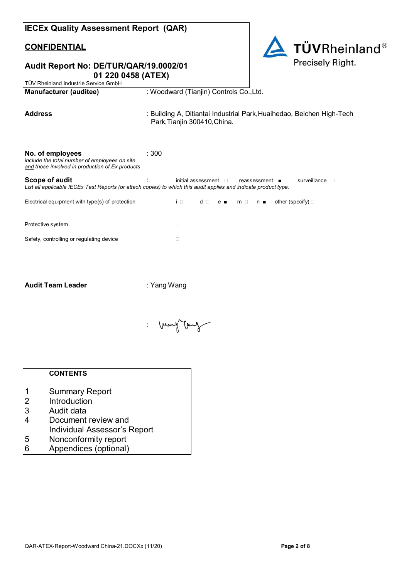| <b>IECEx Quality Assessment Report (QAR)</b>                                                                         |                                                                                                                                                                                                           |
|----------------------------------------------------------------------------------------------------------------------|-----------------------------------------------------------------------------------------------------------------------------------------------------------------------------------------------------------|
| <b>CONFIDENTIAL</b>                                                                                                  | <b>TÜVRheinland®</b>                                                                                                                                                                                      |
| Audit Report No: DE/TUR/QAR/19.0002/01<br>01 220 0458 (ATEX)                                                         | Precisely Right.                                                                                                                                                                                          |
| TÜV Rheinland Industrie Service GmbH<br><b>Manufacturer (auditee)</b>                                                | : Woodward (Tianjin) Controls Co., Ltd.                                                                                                                                                                   |
|                                                                                                                      |                                                                                                                                                                                                           |
| <b>Address</b>                                                                                                       | : Building A, Ditiantai Industrial Park, Huaihedao, Beichen High-Tech<br>Park, Tianjin 300410, China.                                                                                                     |
|                                                                                                                      |                                                                                                                                                                                                           |
| No. of employees<br>include the total number of employees on site<br>and those involved in production of Ex products | : 300                                                                                                                                                                                                     |
| Scope of audit                                                                                                       | initial assessment $\square$<br>surveillance <b>D</b><br>$reassesment$ $\blacksquare$<br>List all applicable IECEx Test Reports (or attach copies) to which this audit applies and indicate product type. |
| Electrical equipment with type(s) of protection                                                                      | $i \square$<br>other (specify) $\square$<br>d □<br>$m \Box$<br>$n_{\blacksquare}$<br>$e_{\blacksquare}$                                                                                                   |
| Protective system                                                                                                    | $\Box$                                                                                                                                                                                                    |
| Safety, controlling or regulating device                                                                             | $\Box$                                                                                                                                                                                                    |
|                                                                                                                      |                                                                                                                                                                                                           |
|                                                                                                                      |                                                                                                                                                                                                           |
| <b>Audit Team Leader</b>                                                                                             | : Yang Wang                                                                                                                                                                                               |



# **CONTENTS**

- 1 Summary Report
- 2 Introduction
- 3 Audit data<br>4 Document
- Document review and
- Individual Assessor's Report<br>5 Nonconformity report
- 5 Nonconformity report
- 6 Appendices (optional)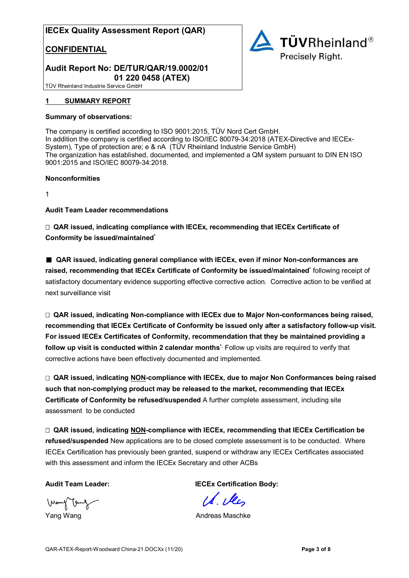## **CONFIDENTIAL**



## **Audit Report No: DE/TUR/QAR/19.0002/01 01 220 0458 (ATEX)**

TÜV Rheinland Industrie Service GmbH

#### **1 SUMMARY REPORT**

#### **Summary of observations:**

The company is certified according to ISO 9001:2015, TÜV Nord Cert GmbH. In addition the company is certified according to ISO/IEC 80079-34:2018 (ATEX-Directive and IECEx-System), Type of protection are; e & nA (TÜV Rheinland Industrie Service GmbH) The organization has established, documented, and implemented a QM system pursuant to DIN EN ISO 9001:2015 and ISO/IEC 80079-34:2018.

#### **Nonconformities**

1

**Audit Team Leader recommendations** 

 **QAR issued, indicating compliance with IECEx, recommending that IECEx Certificate of Conformity be issued/maintained\*** 

■ **QAR issued, indicating general compliance with IECEx, even if minor Non-conformances are raised, recommending that IECEx Certificate of Conformity be issued/maintained\*** following receipt of satisfactory documentary evidence supporting effective corrective action. Corrective action to be verified at next surveillance visit

 **QAR issued, indicating Non-compliance with IECEx due to Major Non-conformances being raised, recommending that IECEx Certificate of Conformity be issued only after a satisfactory follow-up visit. For issued IECEx Certificates of Conformity, recommendation that they be maintained providing a follow up visit is conducted within 2 calendar months\*.** Follow up visits are required to verify that corrective actions have been effectively documented and implemented.

 **QAR issued, indicating NON-compliance with IECEx, due to major Non Conformances being raised such that non-complying product may be released to the market, recommending that IECEx Certificate of Conformity be refused/suspended** A further complete assessment, including site assessment to be conducted

 **QAR issued, indicating NON-compliance with IECEx, recommending that IECEx Certification be refused/suspended** New applications are to be closed complete assessment is to be conducted. Where IECEx Certification has previously been granted, suspend or withdraw any IECEx Certificates associated with this assessment and inform the IECEx Secretary and other ACBs

J۳

Audit Team Leader: **IECEX Certification Body:** 

1d. Dec

Yang Wang **Andreas Maschke**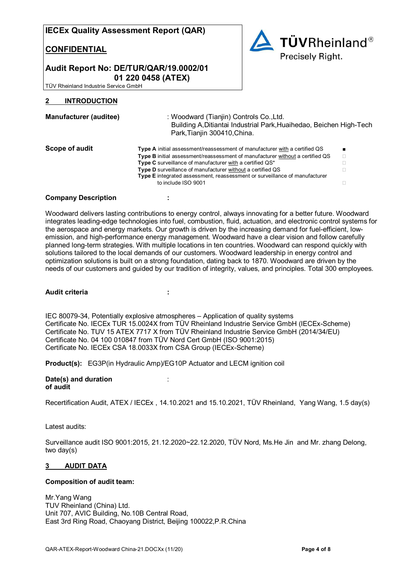#### **CONFIDENTIAL**



#### **Audit Report No: DE/TUR/QAR/19.0002/01 01 220 0458 (ATEX)**

TÜV Rheinland Industrie Service GmbH

#### **2 INTRODUCTION**

| <b>Manufacturer (auditee)</b> | : Woodward (Tianjin) Controls Co., Ltd.<br>Building A, Ditiantai Industrial Park, Huaihedao, Beichen High-Tech<br>Park, Tianjin 300410, China. |  |  |  |  |  |
|-------------------------------|------------------------------------------------------------------------------------------------------------------------------------------------|--|--|--|--|--|
| Scope of audit                | Type A initial assessment/reassessment of manufacturer with a certified QS                                                                     |  |  |  |  |  |
|                               | Type B initial assessment/reassessment of manufacturer without a certified QS                                                                  |  |  |  |  |  |
|                               | Type C surveillance of manufacturer with a certified QS*                                                                                       |  |  |  |  |  |
|                               | Type D surveillance of manufacturer without a certified QS<br>Type E integrated assessment, reassessment or surveillance of manufacturer       |  |  |  |  |  |
|                               | to include ISO 9001                                                                                                                            |  |  |  |  |  |

#### **Company Description :**

Woodward delivers lasting contributions to energy control, always innovating for a better future. Woodward integrates leading-edge technologies into fuel, combustion, fluid, actuation, and electronic control systems for the aerospace and energy markets. Our growth is driven by the increasing demand for fuel-efficient, lowemission, and high-performance energy management. Woodward have a clear vision and follow carefully planned long-term strategies. With multiple locations in ten countries. Woodward can respond quickly with solutions tailored to the local demands of our customers. Woodward leadership in energy control and optimization solutions is built on a strong foundation, dating back to 1870. Woodward are driven by the needs of our customers and guided by our tradition of integrity, values, and principles. Total 300 employees.

#### **Audit criteria :**

IEC 80079-34, Potentially explosive atmospheres – Application of quality systems Certificate No. IECEx TUR 15.0024X from TÜV Rheinland Industrie Service GmbH (IECEx-Scheme) Certificate No. TUV 15 ATEX 7717 X from TÜV Rheinland Industrie Service GmbH (2014/34/EU) Certificate No. 04 100 010847 from TÜV Nord Cert GmbH (ISO 9001:2015) Certificate No. IECEx CSA 18.0033X from CSA Group (IECEx-Scheme)

**Product(s):** EG3P(in Hydraulic Amp)/EG10P Actuator and LECM ignition coil

#### **Date(s) and duration** : **of audit**

Recertification Audit, ATEX / IECEx , 14.10.2021 and 15.10.2021, TÜV Rheinland, Yang Wang, 1.5 day(s)

Latest audits:

Surveillance audit ISO 9001:2015, 21.12.2020~22.12.2020, TÜV Nord, Ms.He Jin and Mr. zhang Delong, two day(s)

#### **3 AUDIT DATA**

#### **Composition of audit team:**

Mr.Yang Wang TUV Rheinland (China) Ltd. Unit 707, AVIC Building, No.10B Central Road, East 3rd Ring Road, Chaoyang District, Beijing 100022,P.R.China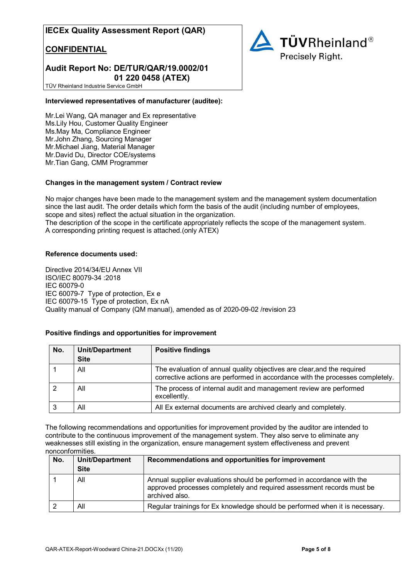## **CONFIDENTIAL**

## **Audit Report No: DE/TUR/QAR/19.0002/01 01 220 0458 (ATEX)**

**TÜVRheinland®** Precisely Right.

TÜV Rheinland Industrie Service GmbH

#### **Interviewed representatives of manufacturer (auditee):**

Mr.Lei Wang, QA manager and Ex representative Ms.Lily Hou, Customer Quality Engineer Ms.May Ma, Compliance Engineer Mr.John Zhang, Sourcing Manager Mr.Michael Jiang, Material Manager Mr.David Du, Director COE/systems Mr.Tian Gang, CMM Programmer

#### **Changes in the management system / Contract review**

No major changes have been made to the management system and the management system documentation since the last audit. The order details which form the basis of the audit (including number of employees, scope and sites) reflect the actual situation in the organization. The description of the scope in the certificate appropriately reflects the scope of the management system. A corresponding printing request is attached.(only ATEX)

#### **Reference documents used:**

Directive 2014/34/EU Annex VII ISO/IEC 80079-34 :2018 IEC 60079-0 IEC 60079-7 Type of protection, Ex e IEC 60079-15 Type of protection, Ex nA Quality manual of Company (QM manual), amended as of 2020-09-02 /revision 23

#### **Positive findings and opportunities for improvement**

| No. | <b>Unit/Department</b><br><b>Site</b> | <b>Positive findings</b>                                                                                                                                 |
|-----|---------------------------------------|----------------------------------------------------------------------------------------------------------------------------------------------------------|
|     | All                                   | The evaluation of annual quality objectives are clear, and the required<br>corrective actions are performed in accordance with the processes completely. |
|     | All                                   | The process of internal audit and management review are performed<br>excellently.                                                                        |
|     | ΑIΙ                                   | All Ex external documents are archived clearly and completely.                                                                                           |

The following recommendations and opportunities for improvement provided by the auditor are intended to contribute to the continuous improvement of the management system. They also serve to eliminate any weaknesses still existing in the organization, ensure management system effectiveness and prevent nonconformities.

| No. | <b>Unit/Department</b><br><b>Site</b> | Recommendations and opportunities for improvement                                                                                                                 |  |  |  |  |  |
|-----|---------------------------------------|-------------------------------------------------------------------------------------------------------------------------------------------------------------------|--|--|--|--|--|
|     | All                                   | Annual supplier evaluations should be performed in accordance with the<br>approved processes completely and required assessment records must be<br>archived also. |  |  |  |  |  |
|     | All                                   | Regular trainings for Ex knowledge should be performed when it is necessary.                                                                                      |  |  |  |  |  |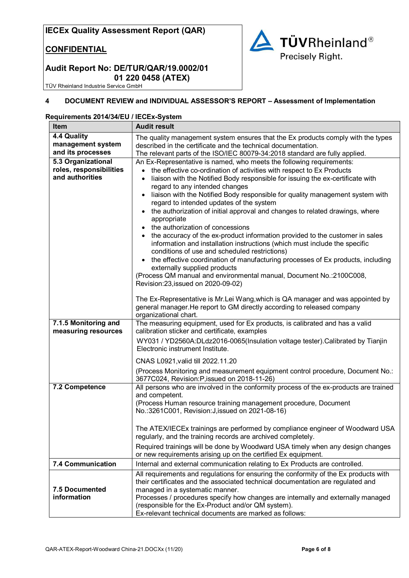# **CONFIDENTIAL**



## **Audit Report No: DE/TUR/QAR/19.0002/01 01 220 0458 (ATEX)**

TÜV Rheinland Industrie Service GmbH

## **4 DOCUMENT REVIEW and INDIVIDUAL ASSESSOR'S REPORT – Assessment of Implementation**

#### **Requirements 2014/34/EU / IECEx-System**

| Item                                                             | <b>Audit result</b>                                                                                                                                                                                                                                                                                                                                                                                                                                                                                                                                                                                                                                                                                                                                                                                                                                                                                                                                                                                        |  |  |  |  |  |  |  |
|------------------------------------------------------------------|------------------------------------------------------------------------------------------------------------------------------------------------------------------------------------------------------------------------------------------------------------------------------------------------------------------------------------------------------------------------------------------------------------------------------------------------------------------------------------------------------------------------------------------------------------------------------------------------------------------------------------------------------------------------------------------------------------------------------------------------------------------------------------------------------------------------------------------------------------------------------------------------------------------------------------------------------------------------------------------------------------|--|--|--|--|--|--|--|
| 4.4 Quality<br>management system<br>and its processes            | The quality management system ensures that the Ex products comply with the types<br>described in the certificate and the technical documentation.<br>The relevant parts of the ISO/IEC 80079-34:2018 standard are fully applied.                                                                                                                                                                                                                                                                                                                                                                                                                                                                                                                                                                                                                                                                                                                                                                           |  |  |  |  |  |  |  |
| 5.3 Organizational<br>roles, responsibilities<br>and authorities | An Ex-Representative is named, who meets the following requirements:<br>the effective co-ordination of activities with respect to Ex Products<br>$\bullet$<br>liaison with the Notified Body responsible for issuing the ex-certificate with<br>$\bullet$<br>regard to any intended changes<br>liaison with the Notified Body responsible for quality management system with<br>regard to intended updates of the system<br>the authorization of initial approval and changes to related drawings, where<br>appropriate<br>the authorization of concessions<br>the accuracy of the ex-product information provided to the customer in sales<br>information and installation instructions (which must include the specific<br>conditions of use and scheduled restrictions)<br>the effective coordination of manufacturing processes of Ex products, including<br>externally supplied products<br>(Process QM manual and environmental manual, Document No.:2100C008,<br>Revision:23, issued on 2020-09-02) |  |  |  |  |  |  |  |
|                                                                  | The Ex-Representative is Mr.Lei Wang, which is QA manager and was appointed by<br>general manager. He report to GM directly according to released company<br>organizational chart.                                                                                                                                                                                                                                                                                                                                                                                                                                                                                                                                                                                                                                                                                                                                                                                                                         |  |  |  |  |  |  |  |
| 7.1.5 Monitoring and<br>measuring resources                      | The measuring equipment, used for Ex products, is calibrated and has a valid<br>calibration sticker and certificate, examples<br>WY031 / YD2560A:DLdz2016-0065(Insulation voltage tester).Calibrated by Tianjin<br>Electronic instrument Institute.                                                                                                                                                                                                                                                                                                                                                                                                                                                                                                                                                                                                                                                                                                                                                        |  |  |  |  |  |  |  |
|                                                                  | CNAS L0921, valid till 2022.11.20<br>(Process Monitoring and measurement equipment control procedure, Document No.:<br>3677C024, Revision: P, issued on 2018-11-26)                                                                                                                                                                                                                                                                                                                                                                                                                                                                                                                                                                                                                                                                                                                                                                                                                                        |  |  |  |  |  |  |  |
| 7.2 Competence                                                   | All persons who are involved in the conformity process of the ex-products are trained<br>and competent.<br>(Process Human resource training management procedure, Document<br>No.:3261C001, Revision: J, issued on 2021-08-16)<br>The ATEX/IECEx trainings are performed by compliance engineer of Woodward USA                                                                                                                                                                                                                                                                                                                                                                                                                                                                                                                                                                                                                                                                                            |  |  |  |  |  |  |  |
|                                                                  | regularly, and the training records are archived completely.<br>Required trainings will be done by Woodward USA timely when any design changes                                                                                                                                                                                                                                                                                                                                                                                                                                                                                                                                                                                                                                                                                                                                                                                                                                                             |  |  |  |  |  |  |  |
|                                                                  | or new requirements arising up on the certified Ex equipment.                                                                                                                                                                                                                                                                                                                                                                                                                                                                                                                                                                                                                                                                                                                                                                                                                                                                                                                                              |  |  |  |  |  |  |  |
| 7.4 Communication                                                | Internal and external communication relating to Ex Products are controlled.                                                                                                                                                                                                                                                                                                                                                                                                                                                                                                                                                                                                                                                                                                                                                                                                                                                                                                                                |  |  |  |  |  |  |  |
| 7.5 Documented<br>information                                    | All requirements and regulations for ensuring the conformity of the Ex products with<br>their certificates and the associated technical documentation are regulated and<br>managed in a systematic manner.<br>Processes / procedures specify how changes are internally and externally managed<br>(responsible for the Ex-Product and/or QM system).<br>Ex-relevant technical documents are marked as follows:                                                                                                                                                                                                                                                                                                                                                                                                                                                                                                                                                                                             |  |  |  |  |  |  |  |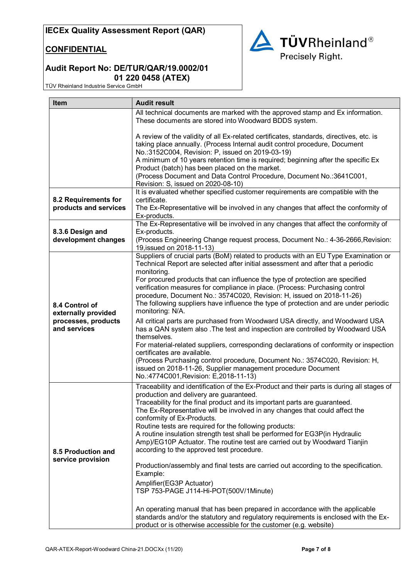## **CONFIDENTIAL**



# **Audit Report No: DE/TUR/QAR/19.0002/01 01 220 0458 (ATEX)**

TÜV Rheinland Industrie Service GmbH

| <b>Item</b>                                                                  | <b>Audit result</b>                                                                                                                                                                                                                                                                                                                                                                                                                                                                                                                                                                                                                                                                                                                                                                                                                                                                                                                                                                                                      |  |  |  |  |  |  |  |
|------------------------------------------------------------------------------|--------------------------------------------------------------------------------------------------------------------------------------------------------------------------------------------------------------------------------------------------------------------------------------------------------------------------------------------------------------------------------------------------------------------------------------------------------------------------------------------------------------------------------------------------------------------------------------------------------------------------------------------------------------------------------------------------------------------------------------------------------------------------------------------------------------------------------------------------------------------------------------------------------------------------------------------------------------------------------------------------------------------------|--|--|--|--|--|--|--|
|                                                                              | All technical documents are marked with the approved stamp and Ex information.                                                                                                                                                                                                                                                                                                                                                                                                                                                                                                                                                                                                                                                                                                                                                                                                                                                                                                                                           |  |  |  |  |  |  |  |
|                                                                              | These documents are stored into Woodward BDDS system.                                                                                                                                                                                                                                                                                                                                                                                                                                                                                                                                                                                                                                                                                                                                                                                                                                                                                                                                                                    |  |  |  |  |  |  |  |
|                                                                              | A review of the validity of all Ex-related certificates, standards, directives, etc. is<br>taking place annually. (Process Internal audit control procedure, Document<br>No.:3152C004, Revision: P, issued on 2019-03-19)<br>A minimum of 10 years retention time is required; beginning after the specific Ex<br>Product (batch) has been placed on the market.<br>(Process Document and Data Control Procedure, Document No.: 3641C001,                                                                                                                                                                                                                                                                                                                                                                                                                                                                                                                                                                                |  |  |  |  |  |  |  |
|                                                                              | Revision: S, issued on 2020-08-10)                                                                                                                                                                                                                                                                                                                                                                                                                                                                                                                                                                                                                                                                                                                                                                                                                                                                                                                                                                                       |  |  |  |  |  |  |  |
| 8.2 Requirements for<br>products and services                                | It is evaluated whether specified customer requirements are compatible with the<br>certificate.<br>The Ex-Representative will be involved in any changes that affect the conformity of<br>Ex-products.                                                                                                                                                                                                                                                                                                                                                                                                                                                                                                                                                                                                                                                                                                                                                                                                                   |  |  |  |  |  |  |  |
|                                                                              | The Ex-Representative will be involved in any changes that affect the conformity of                                                                                                                                                                                                                                                                                                                                                                                                                                                                                                                                                                                                                                                                                                                                                                                                                                                                                                                                      |  |  |  |  |  |  |  |
| 8.3.6 Design and<br>development changes                                      | Ex-products.<br>(Process Engineering Change request process, Document No.: 4-36-2666, Revision:<br>19, issued on 2018-11-13)                                                                                                                                                                                                                                                                                                                                                                                                                                                                                                                                                                                                                                                                                                                                                                                                                                                                                             |  |  |  |  |  |  |  |
| 8.4 Control of<br>externally provided<br>processes, products<br>and services | Suppliers of crucial parts (BoM) related to products with an EU Type Examination or<br>Technical Report are selected after initial assessment and after that a periodic<br>monitoring.<br>For procured products that can influence the type of protection are specified<br>verification measures for compliance in place. (Process: Purchasing control<br>procedure, Document No.: 3574C020, Revision: H, issued on 2018-11-26)<br>The following suppliers have influence the type of protection and are under periodic<br>monitoring: N/A.                                                                                                                                                                                                                                                                                                                                                                                                                                                                              |  |  |  |  |  |  |  |
|                                                                              | All critical parts are purchased from Woodward USA directly, and Woodward USA<br>has a QAN system also . The test and inspection are controlled by Woodward USA<br>themselves.<br>For material-related suppliers, corresponding declarations of conformity or inspection<br>certificates are available.<br>(Process Purchasing control procedure, Document No.: 3574C020, Revision: H,<br>issued on 2018-11-26, Supplier management procedure Document<br>No.:4774C001, Revision: E, 2018-11-13)                                                                                                                                                                                                                                                                                                                                                                                                                                                                                                                         |  |  |  |  |  |  |  |
| 8.5 Production and<br>service provision                                      | Traceability and identification of the Ex-Product and their parts is during all stages of<br>production and delivery are guaranteed.<br>Traceability for the final product and its important parts are guaranteed.<br>The Ex-Representative will be involved in any changes that could affect the<br>conformity of Ex-Products.<br>Routine tests are required for the following products:<br>A routine insulation strength test shall be performed for EG3P(in Hydraulic<br>Amp)/EG10P Actuator. The routine test are carried out by Woodward Tianjin<br>according to the approved test procedure.<br>Production/assembly and final tests are carried out according to the specification.<br>Example:<br>Amplifier(EG3P Actuator)<br>TSP 753-PAGE J114-Hi-POT(500V/1Minute)<br>An operating manual that has been prepared in accordance with the applicable<br>standards and/or the statutory and regulatory requirements is enclosed with the Ex-<br>product or is otherwise accessible for the customer (e.g. website) |  |  |  |  |  |  |  |